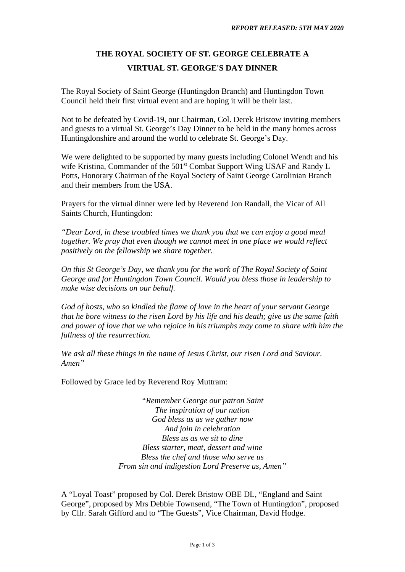## **THE ROYAL SOCIETY OF ST. GEORGE CELEBRATE A VIRTUAL ST. GEORGE'S DAY DINNER**

The Royal Society of Saint George (Huntingdon Branch) and Huntingdon Town Council held their first virtual event and are hoping it will be their last.

Not to be defeated by Covid-19, our Chairman, Col. Derek Bristow inviting members and guests to a virtual St. George's Day Dinner to be held in the many homes across Huntingdonshire and around the world to celebrate St. George's Day.

We were delighted to be supported by many guests including Colonel Wendt and his wife Kristina, Commander of the 501<sup>st</sup> Combat Support Wing USAF and Randy L Potts, Honorary Chairman of the Royal Society of Saint George Carolinian Branch and their members from the USA.

Prayers for the virtual dinner were led by Reverend Jon Randall, the Vicar of All Saints Church, Huntingdon:

*"Dear Lord, in these troubled times we thank you that we can enjoy a good meal together. We pray that even though we cannot meet in one place we would reflect positively on the fellowship we share together.* 

*On this St George's Day, we thank you for the work of The Royal Society of Saint George and for Huntingdon Town Council. Would you bless those in leadership to make wise decisions on our behalf.* 

*God of hosts, who so kindled the flame of love in the heart of your servant George that he bore witness to the risen Lord by his life and his death; give us the same faith and power of love that we who rejoice in his triumphs may come to share with him the fullness of the resurrection.* 

*We ask all these things in the name of Jesus Christ, our risen Lord and Saviour. Amen"* 

Followed by Grace led by Reverend Roy Muttram:

*"Remember George our patron Saint The inspiration of our nation God bless us as we gather now And join in celebration Bless us as we sit to dine Bless starter, meat, dessert and wine Bless the chef and those who serve us From sin and indigestion Lord Preserve us, Amen"* 

A "Loyal Toast" proposed by Col. Derek Bristow OBE DL, "England and Saint George", proposed by Mrs Debbie Townsend, "The Town of Huntingdon", proposed by Cllr. Sarah Gifford and to "The Guests", Vice Chairman, David Hodge.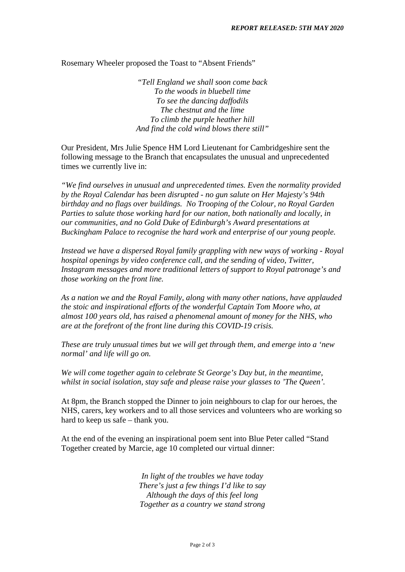Rosemary Wheeler proposed the Toast to "Absent Friends"

*"Tell England we shall soon come back To the woods in bluebell time To see the dancing daffodils The chestnut and the lime To climb the purple heather hill And find the cold wind blows there still"* 

Our President, Mrs Julie Spence HM Lord Lieutenant for Cambridgeshire sent the following message to the Branch that encapsulates the unusual and unprecedented times we currently live in:

*"We find ourselves in unusual and unprecedented times. Even the normality provided by the Royal Calendar has been disrupted - no gun salute on Her Majesty's 94th birthday and no flags over buildings. No Trooping of the Colour, no Royal Garden Parties to salute those working hard for our nation, both nationally and locally, in our communities, and no Gold Duke of Edinburgh's Award presentations at Buckingham Palace to recognise the hard work and enterprise of our young people.* 

*Instead we have a dispersed Royal family grappling with new ways of working - Royal hospital openings by video conference call, and the sending of video, Twitter, Instagram messages and more traditional letters of support to Royal patronage's and those working on the front line.* 

*As a nation we and the Royal Family, along with many other nations, have applauded the stoic and inspirational efforts of the wonderful Captain Tom Moore who, at almost 100 years old, has raised a phenomenal amount of money for the NHS, who are at the forefront of the front line during this COVID-19 crisis.* 

*These are truly unusual times but we will get through them, and emerge into a 'new normal' and life will go on.* 

*We will come together again to celebrate St George's Day but, in the meantime, whilst in social isolation, stay safe and please raise your glasses to 'The Queen'.* 

At 8pm, the Branch stopped the Dinner to join neighbours to clap for our heroes, the NHS, carers, key workers and to all those services and volunteers who are working so hard to keep us safe – thank you.

At the end of the evening an inspirational poem sent into Blue Peter called "Stand Together created by Marcie, age 10 completed our virtual dinner:

> *In light of the troubles we have today There's just a few things I'd like to say Although the days of this feel long Together as a country we stand strong*